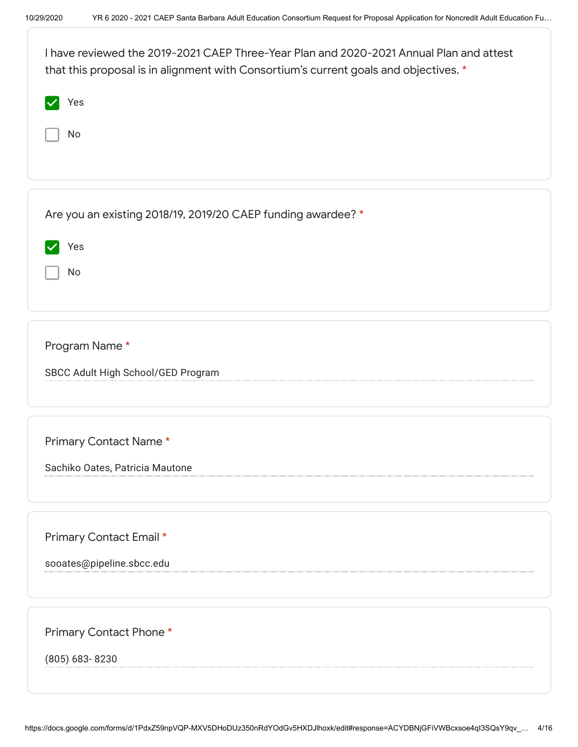| I have reviewed the 2019-2021 CAEP Three-Year Plan and 2020-2021 Annual Plan and attest<br>that this proposal is in alignment with Consortium's current goals and objectives. * |  |
|---------------------------------------------------------------------------------------------------------------------------------------------------------------------------------|--|
| Yes                                                                                                                                                                             |  |
| No                                                                                                                                                                              |  |
|                                                                                                                                                                                 |  |
|                                                                                                                                                                                 |  |
| Are you an existing 2018/19, 2019/20 CAEP funding awardee? *                                                                                                                    |  |
| Yes                                                                                                                                                                             |  |
| No                                                                                                                                                                              |  |
|                                                                                                                                                                                 |  |
| Program Name*                                                                                                                                                                   |  |
| SBCC Adult High School/GED Program                                                                                                                                              |  |
|                                                                                                                                                                                 |  |
|                                                                                                                                                                                 |  |
| Primary Contact Name*                                                                                                                                                           |  |
| Sachiko Oates, Patricia Mautone                                                                                                                                                 |  |
|                                                                                                                                                                                 |  |
| Primary Contact Email *                                                                                                                                                         |  |
| sooates@pipeline.sbcc.edu                                                                                                                                                       |  |
|                                                                                                                                                                                 |  |
| Primary Contact Phone *                                                                                                                                                         |  |
| (805) 683-8230                                                                                                                                                                  |  |
|                                                                                                                                                                                 |  |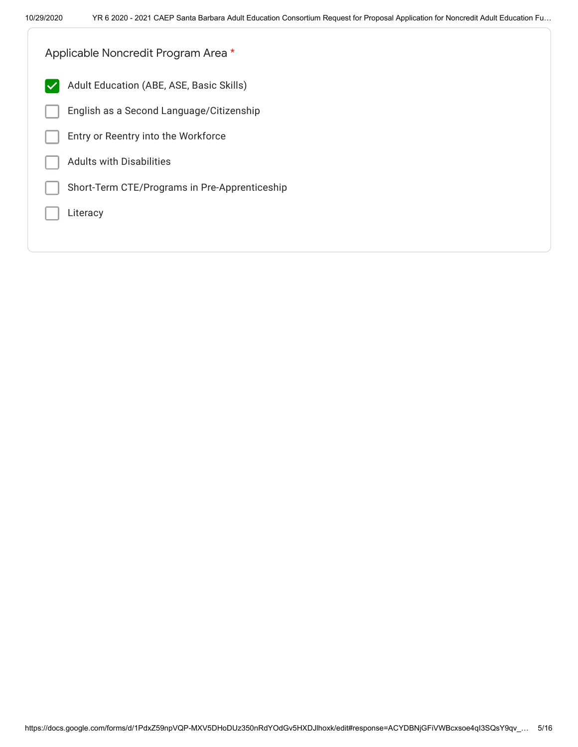| Applicable Noncredit Program Area *                      |  |
|----------------------------------------------------------|--|
| Adult Education (ABE, ASE, Basic Skills)<br>$\checkmark$ |  |
| English as a Second Language/Citizenship                 |  |
| Entry or Reentry into the Workforce                      |  |
| <b>Adults with Disabilities</b>                          |  |
| Short-Term CTE/Programs in Pre-Apprenticeship            |  |
| Literacy                                                 |  |
|                                                          |  |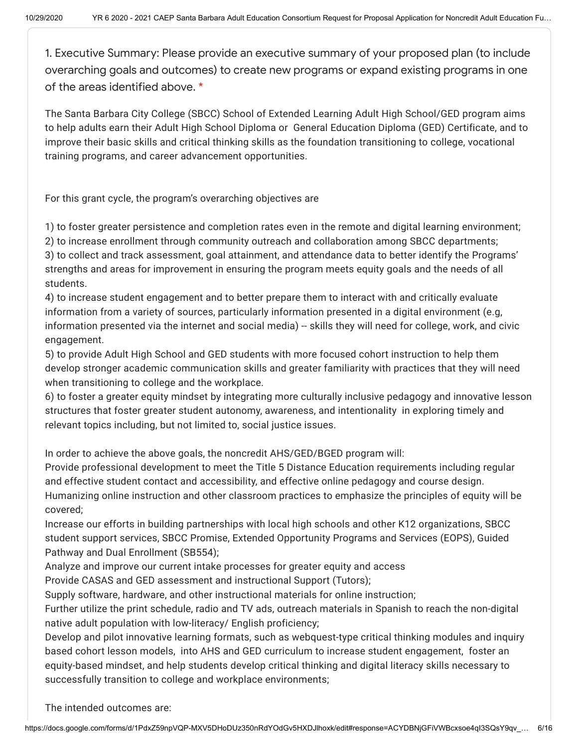1. Executive Summary: Please provide an executive summary of your proposed plan (to include overarching goals and outcomes) to create new programs or expand existing programs in one of the areas identified above. \*

The Santa Barbara City College (SBCC) School of Extended Learning Adult High School/GED program aims to help adults earn their Adult High School Diploma or General Education Diploma (GED) Certificate, and to improve their basic skills and critical thinking skills as the foundation transitioning to college, vocational training programs, and career advancement opportunities.

For this grant cycle, the program's overarching objectives are

1) to foster greater persistence and completion rates even in the remote and digital learning environment; 2) to increase enrollment through community outreach and collaboration among SBCC departments; 3) to collect and track assessment, goal attainment, and attendance data to better identify the Programs' strengths and areas for improvement in ensuring the program meets equity goals and the needs of all students.

4) to increase student engagement and to better prepare them to interact with and critically evaluate information from a variety of sources, particularly information presented in a digital environment (e.g, information presented via the internet and social media) -- skills they will need for college, work, and civic engagement.

5) to provide Adult High School and GED students with more focused cohort instruction to help them develop stronger academic communication skills and greater familiarity with practices that they will need when transitioning to college and the workplace.

6) to foster a greater equity mindset by integrating more culturally inclusive pedagogy and innovative lesson structures that foster greater student autonomy, awareness, and intentionality in exploring timely and relevant topics including, but not limited to, social justice issues.

In order to achieve the above goals, the noncredit AHS/GED/BGED program will:

Provide professional development to meet the Title 5 Distance Education requirements including regular and effective student contact and accessibility, and effective online pedagogy and course design. Humanizing online instruction and other classroom practices to emphasize the principles of equity will be covered;

Increase our efforts in building partnerships with local high schools and other K12 organizations, SBCC student support services, SBCC Promise, Extended Opportunity Programs and Services (EOPS), Guided Pathway and Dual Enrollment (SB554);

Analyze and improve our current intake processes for greater equity and access

Provide CASAS and GED assessment and instructional Support (Tutors);

Supply software, hardware, and other instructional materials for online instruction;

Further utilize the print schedule, radio and TV ads, outreach materials in Spanish to reach the non-digital native adult population with low-literacy/ English proficiency;

Develop and pilot innovative learning formats, such as webquest-type critical thinking modules and inquiry based cohort lesson models, into AHS and GED curriculum to increase student engagement, foster an equity-based mindset, and help students develop critical thinking and digital literacy skills necessary to successfully transition to college and workplace environments;

The intended outcomes are: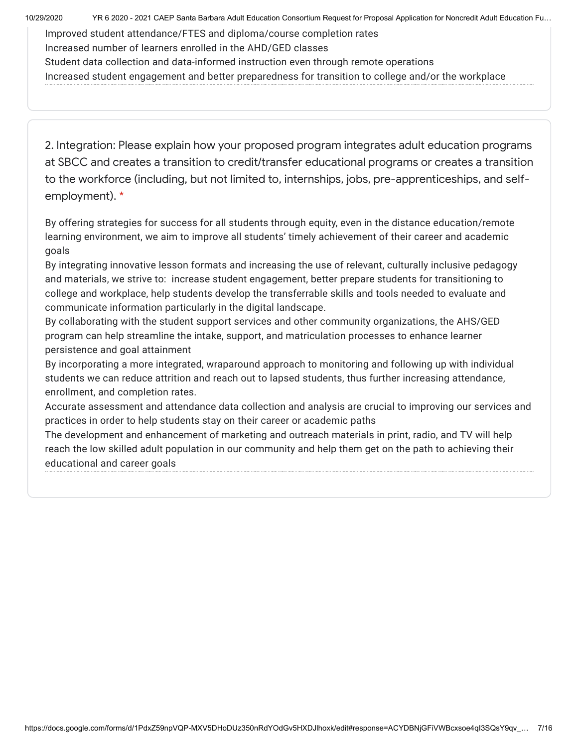10/29/2020 YR 6 2020 - 2021 CAEP Santa Barbara Adult Education Consortium Request for Proposal Application for Noncredit Adult Education Fu…

Improved student attendance/FTES and diploma/course completion rates Increased number of learners enrolled in the AHD/GED classes Student data collection and data-informed instruction even through remote operations Increased student engagement and better preparedness for transition to college and/or the workplace

2. Integration: Please explain how your proposed program integrates adult education programs at SBCC and creates a transition to credit/transfer educational programs or creates a transition to the workforce (including, but not limited to, internships, jobs, pre-apprenticeships, and selfemployment). \*

By offering strategies for success for all students through equity, even in the distance education/remote learning environment, we aim to improve all students' timely achievement of their career and academic goals

By integrating innovative lesson formats and increasing the use of relevant, culturally inclusive pedagogy and materials, we strive to: increase student engagement, better prepare students for transitioning to college and workplace, help students develop the transferrable skills and tools needed to evaluate and communicate information particularly in the digital landscape.

By collaborating with the student support services and other community organizations, the AHS/GED program can help streamline the intake, support, and matriculation processes to enhance learner persistence and goal attainment

By incorporating a more integrated, wraparound approach to monitoring and following up with individual students we can reduce attrition and reach out to lapsed students, thus further increasing attendance, enrollment, and completion rates.

Accurate assessment and attendance data collection and analysis are crucial to improving our services and practices in order to help students stay on their career or academic paths

The development and enhancement of marketing and outreach materials in print, radio, and TV will help reach the low skilled adult population in our community and help them get on the path to achieving their educational and career goals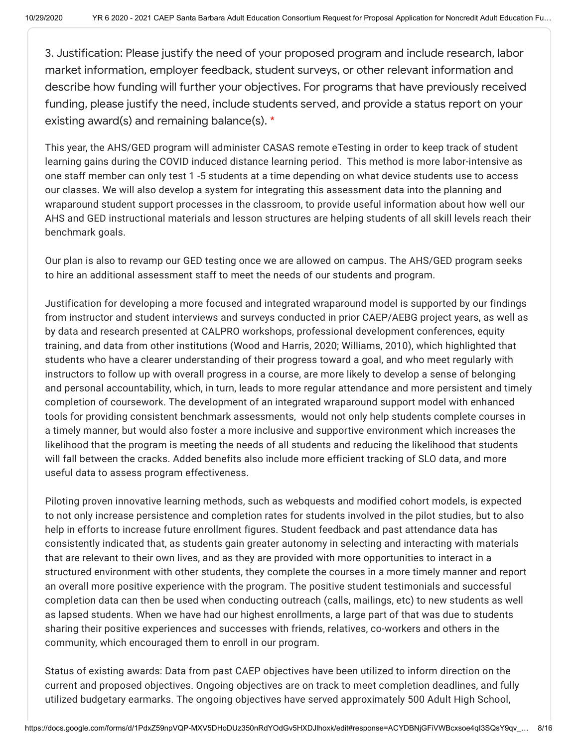3. Justification: Please justify the need of your proposed program and include research, labor market information, employer feedback, student surveys, or other relevant information and describe how funding will further your objectives. For programs that have previously received funding, please justify the need, include students served, and provide a status report on your existing award(s) and remaining balance(s). \*

This year, the AHS/GED program will administer CASAS remote eTesting in order to keep track of student learning gains during the COVID induced distance learning period. This method is more labor-intensive as one staff member can only test 1 -5 students at a time depending on what device students use to access our classes. We will also develop a system for integrating this assessment data into the planning and wraparound student support processes in the classroom, to provide useful information about how well our AHS and GED instructional materials and lesson structures are helping students of all skill levels reach their benchmark goals.

Our plan is also to revamp our GED testing once we are allowed on campus. The AHS/GED program seeks to hire an additional assessment staff to meet the needs of our students and program.

Justification for developing a more focused and integrated wraparound model is supported by our findings from instructor and student interviews and surveys conducted in prior CAEP/AEBG project years, as well as by data and research presented at CALPRO workshops, professional development conferences, equity training, and data from other institutions (Wood and Harris, 2020; Williams, 2010), which highlighted that students who have a clearer understanding of their progress toward a goal, and who meet regularly with instructors to follow up with overall progress in a course, are more likely to develop a sense of belonging and personal accountability, which, in turn, leads to more regular attendance and more persistent and timely completion of coursework. The development of an integrated wraparound support model with enhanced tools for providing consistent benchmark assessments, would not only help students complete courses in a timely manner, but would also foster a more inclusive and supportive environment which increases the likelihood that the program is meeting the needs of all students and reducing the likelihood that students will fall between the cracks. Added benefits also include more efficient tracking of SLO data, and more useful data to assess program effectiveness.

Piloting proven innovative learning methods, such as webquests and modified cohort models, is expected to not only increase persistence and completion rates for students involved in the pilot studies, but to also help in efforts to increase future enrollment figures. Student feedback and past attendance data has consistently indicated that, as students gain greater autonomy in selecting and interacting with materials that are relevant to their own lives, and as they are provided with more opportunities to interact in a structured environment with other students, they complete the courses in a more timely manner and report an overall more positive experience with the program. The positive student testimonials and successful completion data can then be used when conducting outreach (calls, mailings, etc) to new students as well as lapsed students. When we have had our highest enrollments, a large part of that was due to students sharing their positive experiences and successes with friends, relatives, co-workers and others in the community, which encouraged them to enroll in our program.

Status of existing awards: Data from past CAEP objectives have been utilized to inform direction on the current and proposed objectives. Ongoing objectives are on track to meet completion deadlines, and fully utilized budgetary earmarks. The ongoing objectives have served approximately 500 Adult High School,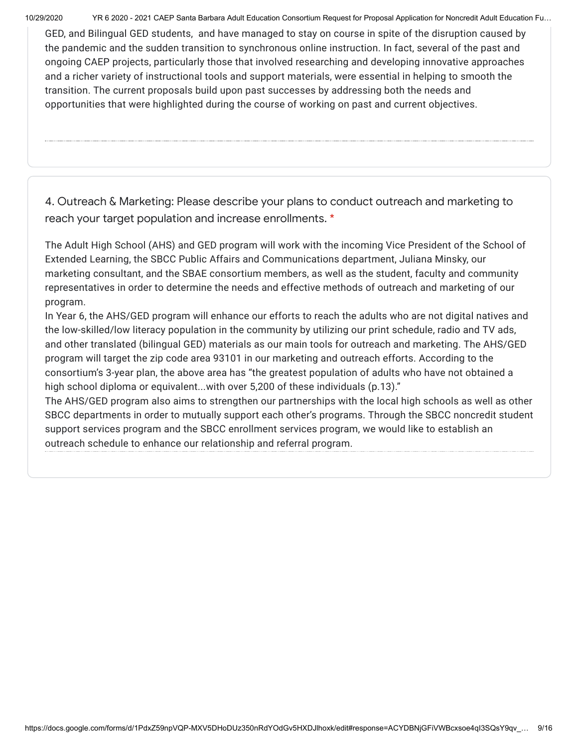10/29/2020 YR 6 2020 - 2021 CAEP Santa Barbara Adult Education Consortium Request for Proposal Application for Noncredit Adult Education Fu…

GED, and Bilingual GED students, and have managed to stay on course in spite of the disruption caused by the pandemic and the sudden transition to synchronous online instruction. In fact, several of the past and ongoing CAEP projects, particularly those that involved researching and developing innovative approaches and a richer variety of instructional tools and support materials, were essential in helping to smooth the transition. The current proposals build upon past successes by addressing both the needs and opportunities that were highlighted during the course of working on past and current objectives.

4. Outreach & Marketing: Please describe your plans to conduct outreach and marketing to reach your target population and increase enrollments. \*

The Adult High School (AHS) and GED program will work with the incoming Vice President of the School of Extended Learning, the SBCC Public Affairs and Communications department, Juliana Minsky, our marketing consultant, and the SBAE consortium members, as well as the student, faculty and community representatives in order to determine the needs and effective methods of outreach and marketing of our program.

In Year 6, the AHS/GED program will enhance our efforts to reach the adults who are not digital natives and the low-skilled/low literacy population in the community by utilizing our print schedule, radio and TV ads, and other translated (bilingual GED) materials as our main tools for outreach and marketing. The AHS/GED program will target the zip code area 93101 in our marketing and outreach efforts. According to the consortium's 3-year plan, the above area has "the greatest population of adults who have not obtained a high school diploma or equivalent...with over 5,200 of these individuals (p.13)."

The AHS/GED program also aims to strengthen our partnerships with the local high schools as well as other SBCC departments in order to mutually support each other's programs. Through the SBCC noncredit student support services program and the SBCC enrollment services program, we would like to establish an outreach schedule to enhance our relationship and referral program.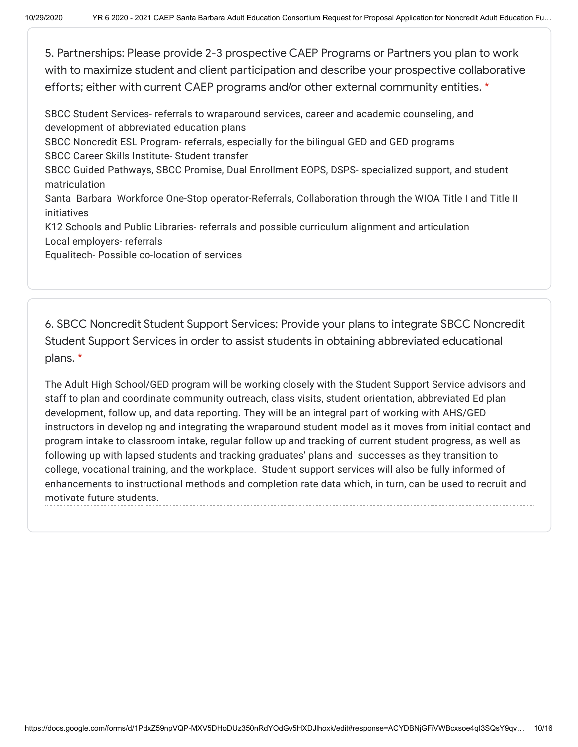5. Partnerships: Please provide 2-3 prospective CAEP Programs or Partners you plan to work with to maximize student and client participation and describe your prospective collaborative efforts; either with current CAEP programs and/or other external community entities. \*

SBCC Student Services- referrals to wraparound services, career and academic counseling, and development of abbreviated education plans SBCC Noncredit ESL Program- referrals, especially for the bilingual GED and GED programs SBCC Career Skills Institute- Student transfer SBCC Guided Pathways, SBCC Promise, Dual Enrollment EOPS, DSPS- specialized support, and student matriculation Santa Barbara Workforce One-Stop operator-Referrals, Collaboration through the WIOA Title I and Title II initiatives K12 Schools and Public Libraries- referrals and possible curriculum alignment and articulation Local employers- referrals Equalitech- Possible co-location of services

6. SBCC Noncredit Student Support Services: Provide your plans to integrate SBCC Noncredit Student Support Services in order to assist students in obtaining abbreviated educational plans. \*

The Adult High School/GED program will be working closely with the Student Support Service advisors and staff to plan and coordinate community outreach, class visits, student orientation, abbreviated Ed plan development, follow up, and data reporting. They will be an integral part of working with AHS/GED instructors in developing and integrating the wraparound student model as it moves from initial contact and program intake to classroom intake, regular follow up and tracking of current student progress, as well as following up with lapsed students and tracking graduates' plans and successes as they transition to college, vocational training, and the workplace. Student support services will also be fully informed of enhancements to instructional methods and completion rate data which, in turn, can be used to recruit and motivate future students.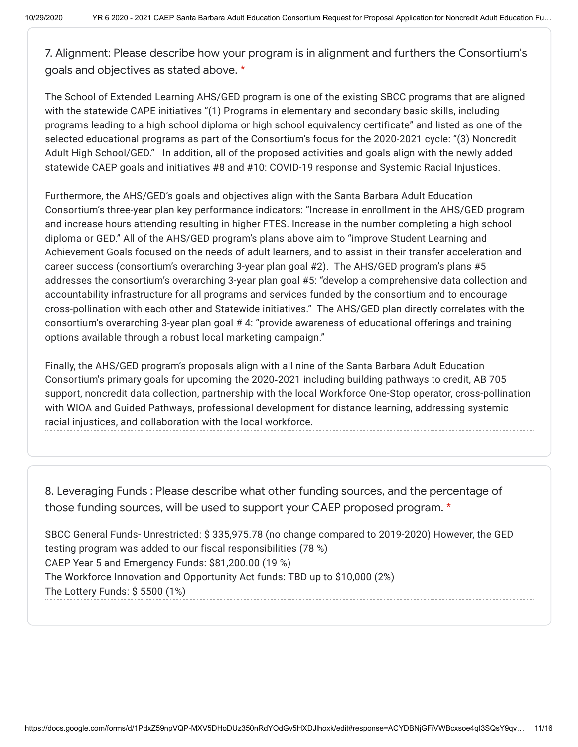7. Alignment: Please describe how your program is in alignment and furthers the Consortium's goals and objectives as stated above. \*

The School of Extended Learning AHS/GED program is one of the existing SBCC programs that are aligned with the statewide CAPE initiatives "(1) Programs in elementary and secondary basic skills, including programs leading to a high school diploma or high school equivalency certificate" and listed as one of the selected educational programs as part of the Consortium's focus for the 2020-2021 cycle: "(3) Noncredit Adult High School/GED." In addition, all of the proposed activities and goals align with the newly added statewide CAEP goals and initiatives #8 and #10: COVID-19 response and Systemic Racial Injustices.

Furthermore, the AHS/GED's goals and objectives align with the Santa Barbara Adult Education Consortium's three-year plan key performance indicators: "Increase in enrollment in the AHS/GED program and increase hours attending resulting in higher FTES. Increase in the number completing a high school diploma or GED." All of the AHS/GED program's plans above aim to "improve Student Learning and Achievement Goals focused on the needs of adult learners, and to assist in their transfer acceleration and career success (consortium's overarching 3-year plan goal #2). The AHS/GED program's plans #5 addresses the consortium's overarching 3-year plan goal #5: "develop a comprehensive data collection and accountability infrastructure for all programs and services funded by the consortium and to encourage cross-pollination with each other and Statewide initiatives." The AHS/GED plan directly correlates with the consortium's overarching 3-year plan goal # 4: "provide awareness of educational offerings and training options available through a robust local marketing campaign."

Finally, the AHS/GED program's proposals align with all nine of the Santa Barbara Adult Education Consortium's primary goals for upcoming the 2020‐2021 including building pathways to credit, AB 705 support, noncredit data collection, partnership with the local Workforce One-Stop operator, cross-pollination with WIOA and Guided Pathways, professional development for distance learning, addressing systemic racial injustices, and collaboration with the local workforce.

8. Leveraging Funds : Please describe what other funding sources, and the percentage of those funding sources, will be used to support your CAEP proposed program. \*

SBCC General Funds- Unrestricted: \$ 335,975.78 (no change compared to 2019-2020) However, the GED testing program was added to our fiscal responsibilities (78 %) CAEP Year 5 and Emergency Funds: \$81,200.00 (19 %) The Workforce Innovation and Opportunity Act funds: TBD up to \$10,000 (2%) The Lottery Funds: \$ 5500 (1%)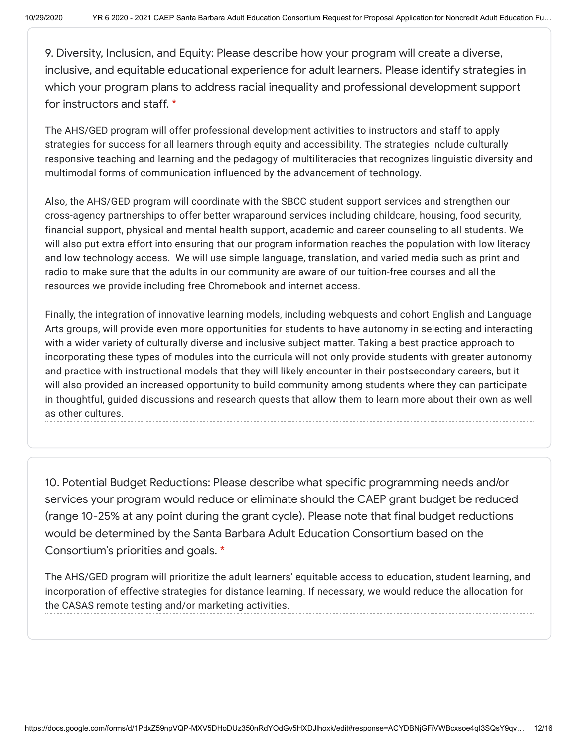9. Diversity, Inclusion, and Equity: Please describe how your program will create a diverse, inclusive, and equitable educational experience for adult learners. Please identify strategies in which your program plans to address racial inequality and professional development support for instructors and staff. \*

The AHS/GED program will offer professional development activities to instructors and staff to apply strategies for success for all learners through equity and accessibility. The strategies include culturally responsive teaching and learning and the pedagogy of multiliteracies that recognizes linguistic diversity and multimodal forms of communication influenced by the advancement of technology.

Also, the AHS/GED program will coordinate with the SBCC student support services and strengthen our cross-agency partnerships to offer better wraparound services including childcare, housing, food security, financial support, physical and mental health support, academic and career counseling to all students. We will also put extra effort into ensuring that our program information reaches the population with low literacy and low technology access. We will use simple language, translation, and varied media such as print and radio to make sure that the adults in our community are aware of our tuition-free courses and all the resources we provide including free Chromebook and internet access.

Finally, the integration of innovative learning models, including webquests and cohort English and Language Arts groups, will provide even more opportunities for students to have autonomy in selecting and interacting with a wider variety of culturally diverse and inclusive subject matter. Taking a best practice approach to incorporating these types of modules into the curricula will not only provide students with greater autonomy and practice with instructional models that they will likely encounter in their postsecondary careers, but it will also provided an increased opportunity to build community among students where they can participate in thoughtful, guided discussions and research quests that allow them to learn more about their own as well as other cultures.

10. Potential Budget Reductions: Please describe what specific programming needs and/or services your program would reduce or eliminate should the CAEP grant budget be reduced (range 10-25% at any point during the grant cycle). Please note that final budget reductions would be determined by the Santa Barbara Adult Education Consortium based on the Consortium's priorities and goals. \*

The AHS/GED program will prioritize the adult learners' equitable access to education, student learning, and incorporation of effective strategies for distance learning. If necessary, we would reduce the allocation for the CASAS remote testing and/or marketing activities.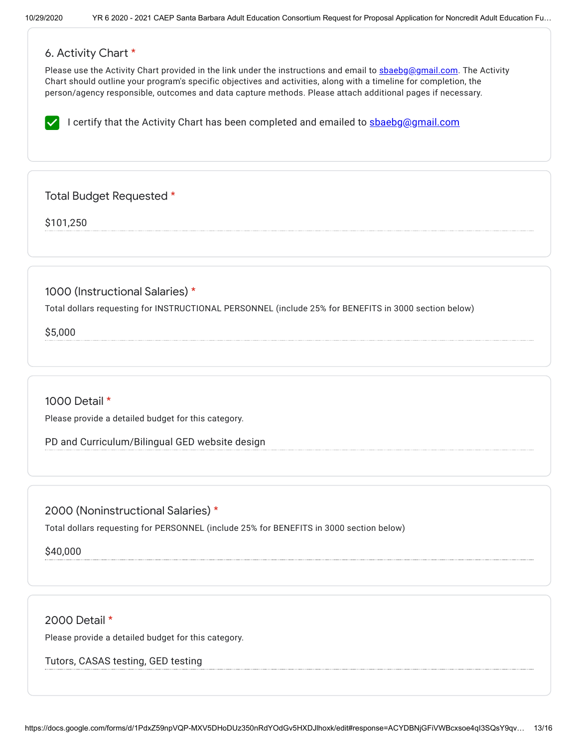# 6. Activity Chart \*

Please use the Activity Chart provided in the link under the instructions and email to [sbaebg@gmail.com.](mailto:sbaebg@gmail.com) The Activity Chart should outline your program's specific objectives and activities, along with a timeline for completion, the person/agency responsible, outcomes and data capture methods. Please attach additional pages if necessary.

I certify that the Activity Chart has been completed and emailed to  $\frac{\text{shebg}}{\text{genail.com}}$ 

Total Budget Requested \*

\$101,250

1000 (Instructional Salaries) \*

Total dollars requesting for INSTRUCTIONAL PERSONNEL (include 25% for BENEFITS in 3000 section below)

\$5,000

1000 Detail \*

Please provide a detailed budget for this category.

PD and Curriculum/Bilingual GED website design

2000 (Noninstructional Salaries) \*

Total dollars requesting for PERSONNEL (include 25% for BENEFITS in 3000 section below)

\$40,000

2000 Detail \*

Please provide a detailed budget for this category.

Tutors, CASAS testing, GED testing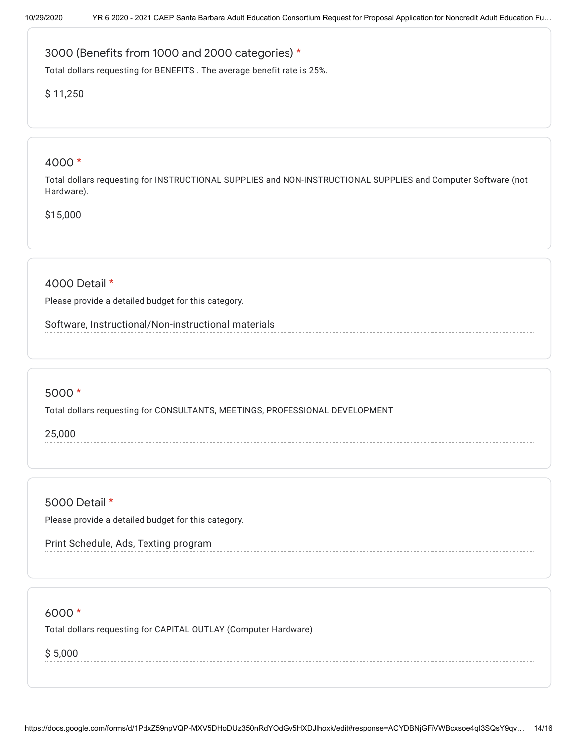# 3000 (Benefits from 1000 and 2000 categories) \*

Total dollars requesting for BENEFITS . The average benefit rate is 25%.

## \$ 11,250

#### 4000 \*

Total dollars requesting for INSTRUCTIONAL SUPPLIES and NON-INSTRUCTIONAL SUPPLIES and Computer Software (not Hardware).

## \$15,000

# 4000 Detail \*

Please provide a detailed budget for this category.

Software, Instructional/Non-instructional materials

### 5000 \*

Total dollars requesting for CONSULTANTS, MEETINGS, PROFESSIONAL DEVELOPMENT

25,000

5000 Detail \*

Please provide a detailed budget for this category.

Print Schedule, Ads, Texting program

### 6000 \*

Total dollars requesting for CAPITAL OUTLAY (Computer Hardware)

\$ 5,000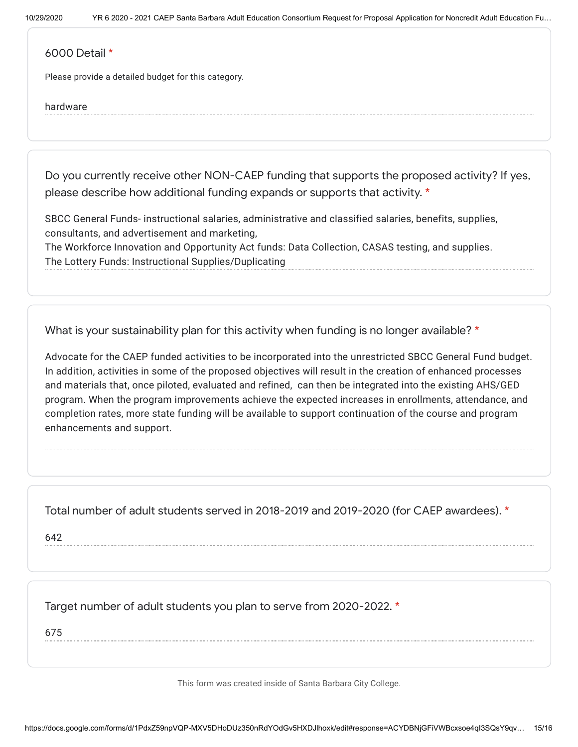#### 6000 Detail \*

Please provide a detailed budget for this category.

#### hardware

Do you currently receive other NON-CAEP funding that supports the proposed activity? If yes, please describe how additional funding expands or supports that activity. \*

SBCC General Funds- instructional salaries, administrative and classified salaries, benefits, supplies, consultants, and advertisement and marketing,

The Workforce Innovation and Opportunity Act funds: Data Collection, CASAS testing, and supplies. The Lottery Funds: Instructional Supplies/Duplicating

What is your sustainability plan for this activity when funding is no longer available? \*

Advocate for the CAEP funded activities to be incorporated into the unrestricted SBCC General Fund budget. In addition, activities in some of the proposed objectives will result in the creation of enhanced processes and materials that, once piloted, evaluated and refined, can then be integrated into the existing AHS/GED program. When the program improvements achieve the expected increases in enrollments, attendance, and completion rates, more state funding will be available to support continuation of the course and program enhancements and support.

Total number of adult students served in 2018-2019 and 2019-2020 (for CAEP awardees). \*

642

Target number of adult students you plan to serve from 2020-2022. \*

675

This form was created inside of Santa Barbara City College.